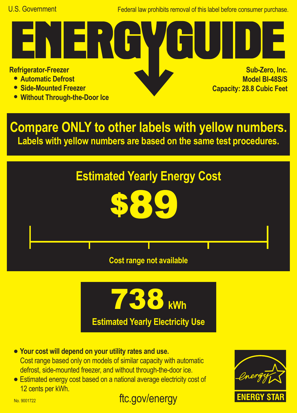Federal law prohibits removal of this label before consumer purchase.

**Refrigerator-Freezer**

- **• Automatic Defrost**
- **• Side-Mounted Freezer**
- **• Without Through-the-Door Ice**

ER I

**Sub-Zero, Inc. Model BI-48S/S Capacity: 28.8 Cubic Feet**

**Compare ONLY to other labels with yellow numbers. Labels with yellow numbers are based on the same test procedures.**





- **• Your cost will depend on your utility rates and use.** Cost range based only on models of similar capacity with automatic defrost, side-mounted freezer, and without through-the-door ice. **•** Estimated energy cost based on a national average electricity cost of
- 12 cents per kWh.